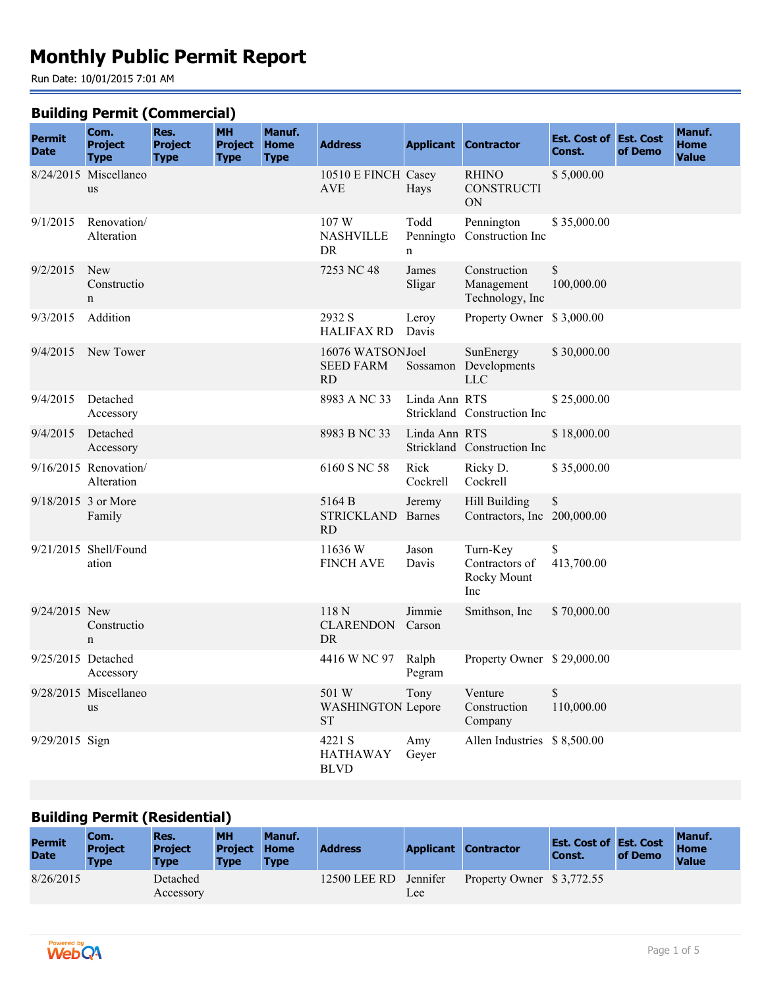# **Monthly Public Permit Report**

Run Date: 10/01/2015 7:01 AM

#### **Building Permit (Commercial)**

| <b>Permit</b><br><b>Date</b> | <br>Com.<br><b>Project</b><br><b>Type</b> | Res.<br><b>Project</b><br><b>Type</b> | <b>MH</b><br><b>Project</b><br><b>Type</b> | Manuf.<br><b>Home</b><br><b>Type</b> | <b>Address</b>                                    |                        | <b>Applicant Contractor</b>                      | <b>Est. Cost of Est. Cost</b><br>Const. | of Demo | Manuf.<br><b>Home</b><br><b>Value</b> |
|------------------------------|-------------------------------------------|---------------------------------------|--------------------------------------------|--------------------------------------|---------------------------------------------------|------------------------|--------------------------------------------------|-----------------------------------------|---------|---------------------------------------|
|                              | 8/24/2015 Miscellaneo<br><b>us</b>        |                                       |                                            |                                      | 10510 E FINCH Casey<br><b>AVE</b>                 | Hays                   | <b>RHINO</b><br><b>CONSTRUCTI</b><br>ON          | \$5,000.00                              |         |                                       |
| 9/1/2015                     | Renovation/<br>Alteration                 |                                       |                                            |                                      | 107 W<br><b>NASHVILLE</b><br>DR                   | Todd<br>Penningto<br>n | Pennington<br>Construction Inc                   | \$35,000.00                             |         |                                       |
| 9/2/2015                     | <b>New</b><br>Constructio<br>n            |                                       |                                            |                                      | 7253 NC 48                                        | James<br>Sligar        | Construction<br>Management<br>Technology, Inc    | \$<br>100,000.00                        |         |                                       |
| 9/3/2015                     | Addition                                  |                                       |                                            |                                      | 2932 S<br><b>HALIFAX RD</b>                       | Leroy<br>Davis         | Property Owner \$3,000.00                        |                                         |         |                                       |
| 9/4/2015                     | New Tower                                 |                                       |                                            |                                      | 16076 WATSONJoel<br><b>SEED FARM</b><br><b>RD</b> | Sossamon               | SunEnergy<br>Developments<br><b>LLC</b>          | \$30,000.00                             |         |                                       |
| 9/4/2015                     | Detached<br>Accessory                     |                                       |                                            |                                      | 8983 A NC 33                                      | Linda Ann RTS          | Strickland Construction Inc                      | \$25,000.00                             |         |                                       |
| 9/4/2015                     | Detached<br>Accessory                     |                                       |                                            |                                      | 8983 B NC 33                                      | Linda Ann RTS          | Strickland Construction Inc                      | \$18,000.00                             |         |                                       |
|                              | $9/16/2015$ Renovation/<br>Alteration     |                                       |                                            |                                      | 6160 S NC 58                                      | Rick<br>Cockrell       | Ricky D.<br>Cockrell                             | \$35,000.00                             |         |                                       |
|                              | 9/18/2015 3 or More<br>Family             |                                       |                                            |                                      | 5164 B<br><b>STRICKLAND</b><br><b>RD</b>          | Jeremy<br>Barnes       | Hill Building<br>Contractors, Inc 200,000.00     | \$                                      |         |                                       |
|                              | 9/21/2015 Shell/Found<br>ation            |                                       |                                            |                                      | 11636W<br><b>FINCH AVE</b>                        | Jason<br>Davis         | Turn-Key<br>Contractors of<br>Rocky Mount<br>Inc | \$<br>413,700.00                        |         |                                       |
| 9/24/2015 New                | Constructio<br>$\mathbf n$                |                                       |                                            |                                      | 118N<br><b>CLARENDON</b><br><b>DR</b>             | Jimmie<br>Carson       | Smithson, Inc                                    | \$70,000.00                             |         |                                       |
| 9/25/2015 Detached           | Accessory                                 |                                       |                                            |                                      | 4416 W NC 97                                      | Ralph<br>Pegram        | Property Owner \$29,000.00                       |                                         |         |                                       |
|                              | 9/28/2015 Miscellaneo<br>us               |                                       |                                            |                                      | 501 W<br><b>WASHINGTON Lepore</b><br>${\rm ST}$   | Tony                   | Venture<br>Construction<br>Company               | $\mathbb{S}$<br>110,000.00              |         |                                       |
| 9/29/2015 Sign               |                                           |                                       |                                            |                                      | 4221 S<br><b>HATHAWAY</b><br><b>BLVD</b>          | Amy<br>Geyer           | Allen Industries \$8,500.00                      |                                         |         |                                       |

#### **Building Permit (Residential)**

| <b>Permit</b><br><b>Date</b> | Com.<br><b>Project</b><br><b>Type</b> | Res.<br><b>Project</b><br><b>Type</b> | <b>MH</b><br><b>Project Home</b><br><b>Type</b> | Manuf.<br><b>Type</b> | <b>Address</b> |                 | <b>Applicant Contractor</b> | <b>Est. Cost of Est. Cost</b><br><b>Const.</b> | of Demo | Manuf.<br><b>Home</b><br>Value |
|------------------------------|---------------------------------------|---------------------------------------|-------------------------------------------------|-----------------------|----------------|-----------------|-----------------------------|------------------------------------------------|---------|--------------------------------|
| 8/26/2015                    |                                       | Detached<br>Accessory                 |                                                 |                       | 12500 LEE RD   | Jennifer<br>Lee | Property Owner \$3,772.55   |                                                |         |                                |

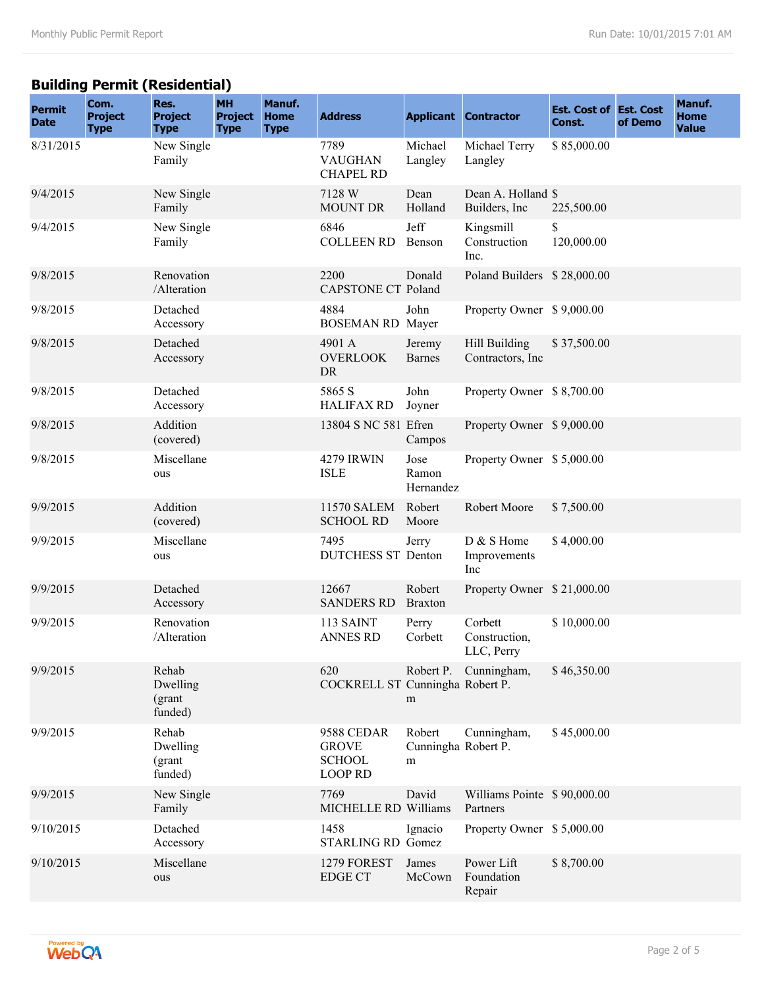## **Building Permit (Residential)**

| <b>Permit</b><br><b>Date</b> | Com.<br><b>Project</b><br><b>Type</b> | Res.<br><b>Project</b><br><b>Type</b>  | <b>MH</b><br><b>Project</b><br><b>Type</b> | Manuf.<br><b>Home</b><br><b>Type</b> | <b>Address</b>                                                |                                    | <b>Applicant Contractor</b>             | <b>Est. Cost of Est. Cost</b><br>Const. | of Demo | Manuf.<br><b>Home</b><br><b>Value</b> |
|------------------------------|---------------------------------------|----------------------------------------|--------------------------------------------|--------------------------------------|---------------------------------------------------------------|------------------------------------|-----------------------------------------|-----------------------------------------|---------|---------------------------------------|
| 8/31/2015                    |                                       | New Single<br>Family                   |                                            |                                      | 7789<br><b>VAUGHAN</b><br><b>CHAPEL RD</b>                    | Michael<br>Langley                 | Michael Terry<br>Langley                | \$85,000.00                             |         |                                       |
| 9/4/2015                     |                                       | New Single<br>Family                   |                                            |                                      | 7128 W<br><b>MOUNT DR</b>                                     | Dean<br>Holland                    | Dean A. Holland \$<br>Builders, Inc.    | 225,500.00                              |         |                                       |
| 9/4/2015                     |                                       | New Single<br>Family                   |                                            |                                      | 6846<br><b>COLLEEN RD</b>                                     | Jeff<br>Benson                     | Kingsmill<br>Construction<br>Inc.       | \$<br>120,000.00                        |         |                                       |
| 9/8/2015                     |                                       | Renovation<br>/Alteration              |                                            |                                      | 2200<br><b>CAPSTONE CT Poland</b>                             | Donald                             | Poland Builders \$28,000.00             |                                         |         |                                       |
| 9/8/2015                     |                                       | Detached<br>Accessory                  |                                            |                                      | 4884<br><b>BOSEMAN RD</b> Mayer                               | John                               | Property Owner \$9,000.00               |                                         |         |                                       |
| 9/8/2015                     |                                       | Detached<br>Accessory                  |                                            |                                      | 4901 A<br><b>OVERLOOK</b><br>DR                               | Jeremy<br><b>Barnes</b>            | Hill Building<br>Contractors, Inc.      | \$37,500.00                             |         |                                       |
| 9/8/2015                     |                                       | Detached<br>Accessory                  |                                            |                                      | 5865 S<br><b>HALIFAX RD</b>                                   | John<br>Joyner                     | Property Owner \$8,700.00               |                                         |         |                                       |
| 9/8/2015                     |                                       | Addition<br>(covered)                  |                                            |                                      | 13804 S NC 581 Efren                                          | Campos                             | Property Owner \$9,000.00               |                                         |         |                                       |
| 9/8/2015                     |                                       | Miscellane<br>ous                      |                                            |                                      | <b>4279 IRWIN</b><br><b>ISLE</b>                              | Jose<br>Ramon<br>Hernandez         | Property Owner \$5,000.00               |                                         |         |                                       |
| 9/9/2015                     |                                       | Addition<br>(covered)                  |                                            |                                      | <b>11570 SALEM</b><br><b>SCHOOL RD</b>                        | Robert<br>Moore                    | Robert Moore                            | \$7,500.00                              |         |                                       |
| 9/9/2015                     |                                       | Miscellane<br>ous                      |                                            |                                      | 7495<br><b>DUTCHESS ST Denton</b>                             | Jerry                              | D & S Home<br>Improvements<br>Inc       | \$4,000.00                              |         |                                       |
| 9/9/2015                     |                                       | Detached<br>Accessory                  |                                            |                                      | 12667<br><b>SANDERS RD</b>                                    | Robert<br><b>Braxton</b>           | Property Owner \$21,000.00              |                                         |         |                                       |
| 9/9/2015                     |                                       | Renovation<br>/Alteration              |                                            |                                      | 113 SAINT<br><b>ANNES RD</b>                                  | Perry<br>Corbett                   | Corbett<br>Construction,<br>LLC, Perry  | \$10,000.00                             |         |                                       |
| 9/9/2015                     |                                       | Rehab<br>Dwelling<br>(grant<br>funded) |                                            |                                      | 620<br>COCKRELL ST Cunningha Robert P.                        | m                                  | Robert P. Cunningham,                   | \$46,350.00                             |         |                                       |
| 9/9/2015                     |                                       | Rehab<br>Dwelling<br>(grant<br>funded) |                                            |                                      | 9588 CEDAR<br><b>GROVE</b><br><b>SCHOOL</b><br><b>LOOP RD</b> | Robert<br>Cunningha Robert P.<br>m | Cunningham,                             | \$45,000.00                             |         |                                       |
| 9/9/2015                     |                                       | New Single<br>Family                   |                                            |                                      | 7769<br>MICHELLE RD Williams                                  | David                              | Williams Pointe \$90,000.00<br>Partners |                                         |         |                                       |
| 9/10/2015                    |                                       | Detached<br>Accessory                  |                                            |                                      | 1458<br>STARLING RD Gomez                                     | Ignacio                            | Property Owner \$5,000.00               |                                         |         |                                       |
| 9/10/2015                    |                                       | Miscellane<br>ous                      |                                            |                                      | 1279 FOREST<br><b>EDGE CT</b>                                 | James<br>McCown                    | Power Lift<br>Foundation<br>Repair      | \$8,700.00                              |         |                                       |

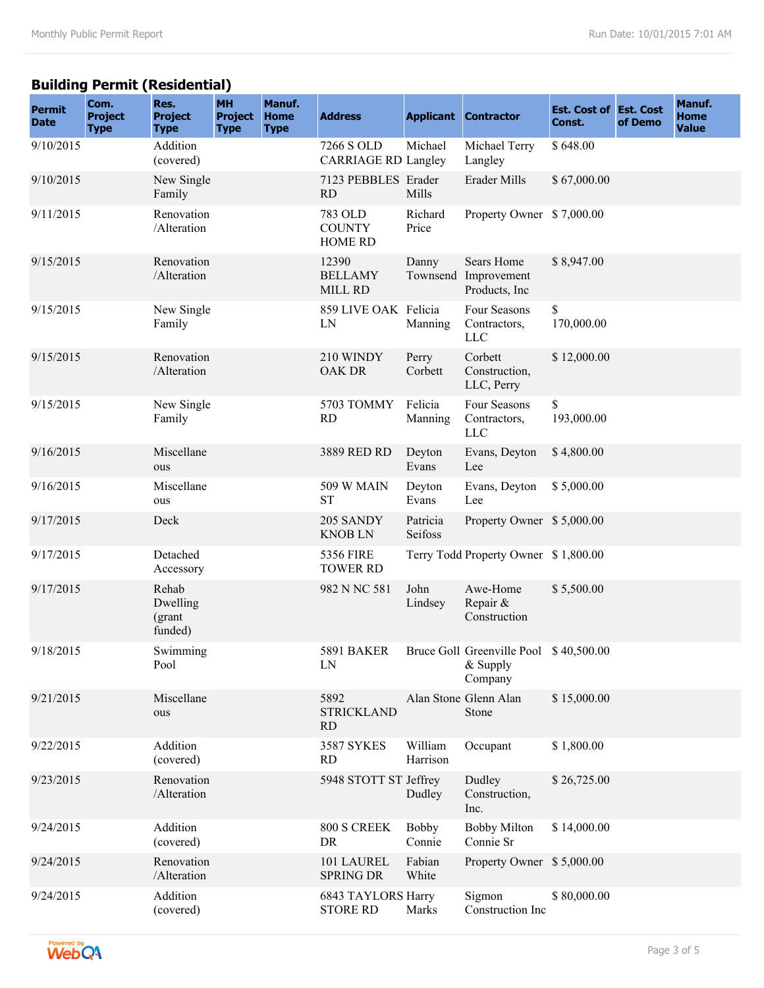## **Building Permit (Residential)**

| <b>Permit</b><br><b>Date</b> | Com.<br><b>Project</b><br><b>Type</b> | Res.<br><b>Project</b><br><b>Type</b>  | <b>MH</b><br><b>Project</b><br><b>Type</b> | Manuf.<br><b>Home</b><br><b>Type</b> | <b>Address</b>                               |                        | <b>Applicant Contractor</b>                                     | <b>Est. Cost of Est. Cost</b><br>Const. | of Demo | Manuf.<br><b>Home</b><br><b>Value</b> |
|------------------------------|---------------------------------------|----------------------------------------|--------------------------------------------|--------------------------------------|----------------------------------------------|------------------------|-----------------------------------------------------------------|-----------------------------------------|---------|---------------------------------------|
| 9/10/2015                    |                                       | Addition<br>(covered)                  |                                            |                                      | 7266 S OLD<br><b>CARRIAGE RD Langley</b>     | Michael                | Michael Terry<br>Langley                                        | \$648.00                                |         |                                       |
| 9/10/2015                    |                                       | New Single<br>Family                   |                                            |                                      | 7123 PEBBLES Erader<br><b>RD</b>             | Mills                  | Erader Mills                                                    | \$67,000.00                             |         |                                       |
| 9/11/2015                    |                                       | Renovation<br>/Alteration              |                                            |                                      | 783 OLD<br><b>COUNTY</b><br><b>HOME RD</b>   | Richard<br>Price       | Property Owner \$7,000.00                                       |                                         |         |                                       |
| 9/15/2015                    |                                       | Renovation<br>/Alteration              |                                            |                                      | 12390<br><b>BELLAMY</b><br><b>MILL RD</b>    | Danny<br>Townsend      | Sears Home<br>Improvement<br>Products, Inc.                     | \$8,947.00                              |         |                                       |
| 9/15/2015                    |                                       | New Single<br>Family                   |                                            |                                      | 859 LIVE OAK Felicia<br>LN                   | Manning                | Four Seasons<br>Contractors,<br><b>LLC</b>                      | \$<br>170,000.00                        |         |                                       |
| 9/15/2015                    |                                       | Renovation<br>/Alteration              |                                            |                                      | 210 WINDY<br><b>OAK DR</b>                   | Perry<br>Corbett       | Corbett<br>Construction,<br>LLC, Perry                          | \$12,000.00                             |         |                                       |
| 9/15/2015                    |                                       | New Single<br>Family                   |                                            |                                      | 5703 TOMMY<br><b>RD</b>                      | Felicia<br>Manning     | Four Seasons<br>Contractors,<br><b>LLC</b>                      | \$<br>193,000.00                        |         |                                       |
| 9/16/2015                    |                                       | Miscellane<br>ous                      |                                            |                                      | 3889 RED RD                                  | Deyton<br>Evans        | Evans, Deyton<br>Lee                                            | \$4,800.00                              |         |                                       |
| 9/16/2015                    |                                       | Miscellane<br>ous                      |                                            |                                      | <b>509 W MAIN</b><br><b>ST</b>               | Deyton<br>Evans        | Evans, Deyton<br>Lee                                            | \$5,000.00                              |         |                                       |
| 9/17/2015                    |                                       | Deck                                   |                                            |                                      | 205 SANDY<br><b>KNOBLN</b>                   | Patricia<br>Seifoss    | Property Owner \$5,000.00                                       |                                         |         |                                       |
| 9/17/2015                    |                                       | Detached<br>Accessory                  |                                            |                                      | <b>5356 FIRE</b><br><b>TOWER RD</b>          |                        | Terry Todd Property Owner \$1,800.00                            |                                         |         |                                       |
| 9/17/2015                    |                                       | Rehab<br>Dwelling<br>(grant<br>funded) |                                            |                                      | 982 N NC 581                                 | John<br>Lindsey        | Awe-Home<br>Repair &<br>Construction                            | \$5,500.00                              |         |                                       |
| 9/18/2015                    |                                       | Swimming<br>Pool                       |                                            |                                      | <b>5891 BAKER</b><br>LN                      |                        | Bruce Goll Greenville Pool \$40,500.00<br>$&$ Supply<br>Company |                                         |         |                                       |
| 9/21/2015                    |                                       | Miscellane<br>ous                      |                                            |                                      | 5892<br><b>STRICKLAND</b><br><b>RD</b>       |                        | Alan Stone Glenn Alan<br>Stone                                  | \$15,000.00                             |         |                                       |
| 9/22/2015                    |                                       | Addition<br>(covered)                  |                                            |                                      | <b>3587 SYKES</b><br>RD                      | William<br>Harrison    | Occupant                                                        | \$1,800.00                              |         |                                       |
| 9/23/2015                    |                                       | Renovation<br>/Alteration              |                                            |                                      | 5948 STOTT ST Jeffrey                        | Dudley                 | Dudley<br>Construction,<br>Inc.                                 | \$26,725.00                             |         |                                       |
| 9/24/2015                    |                                       | Addition<br>(covered)                  |                                            |                                      | 800 S CREEK<br>DR                            | <b>Bobby</b><br>Connie | <b>Bobby Milton</b><br>Connie Sr                                | \$14,000.00                             |         |                                       |
| 9/24/2015                    |                                       | Renovation<br>/Alteration              |                                            |                                      | 101 LAUREL<br><b>SPRING DR</b>               | Fabian<br>White        | Property Owner \$5,000.00                                       |                                         |         |                                       |
| 9/24/2015                    |                                       | Addition<br>(covered)                  |                                            |                                      | <b>6843 TAYLORS Harry</b><br><b>STORE RD</b> | Marks                  | Sigmon<br>Construction Inc                                      | \$80,000.00                             |         |                                       |

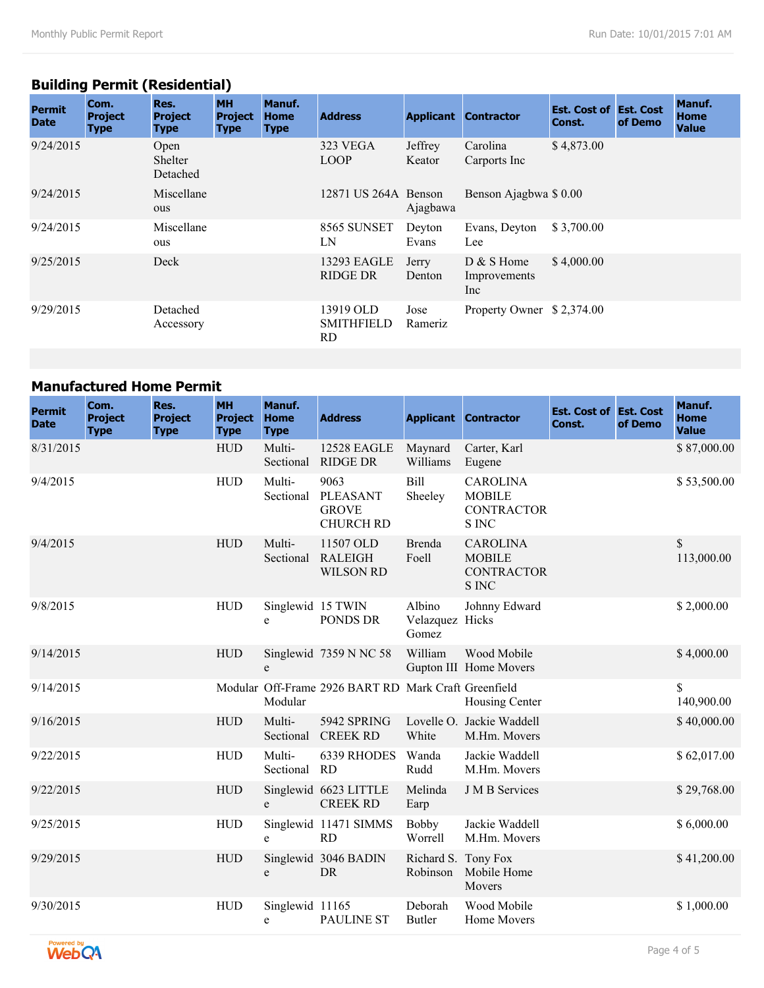## **Building Permit (Residential)**

| <b>Permit</b><br><b>Date</b> | Com.<br><b>Project</b><br><b>Type</b> | Res.<br><b>Project</b><br><b>Type</b> | <b>MH</b><br><b>Project</b><br><b>Type</b> | Manuf.<br><b>Home</b><br><b>Type</b> | <b>Address</b>                        | <b>Applicant</b>  | <b>Contractor</b>                   | <b>Est. Cost of Est. Cost</b><br>Const. | of Demo | <b>Manuf.</b><br>Home<br><b>Value</b> |
|------------------------------|---------------------------------------|---------------------------------------|--------------------------------------------|--------------------------------------|---------------------------------------|-------------------|-------------------------------------|-----------------------------------------|---------|---------------------------------------|
| 9/24/2015                    |                                       | Open<br>Shelter<br>Detached           |                                            |                                      | 323 VEGA<br><b>LOOP</b>               | Jeffrey<br>Keator | Carolina<br>Carports Inc.           | \$4,873.00                              |         |                                       |
| 9/24/2015                    |                                       | Miscellane<br>ous                     |                                            |                                      | 12871 US 264A Benson                  | Ajagbawa          | Benson Ajagbwa \$ 0.00              |                                         |         |                                       |
| 9/24/2015                    |                                       | Miscellane<br>ous                     |                                            |                                      | 8565 SUNSET<br>LN                     | Devton<br>Evans   | Evans, Deyton<br>Lee                | \$3,700.00                              |         |                                       |
| 9/25/2015                    |                                       | Deck                                  |                                            |                                      | 13293 EAGLE<br><b>RIDGE DR</b>        | Jerry<br>Denton   | $D & S$ Home<br>Improvements<br>Inc | \$4,000.00                              |         |                                       |
| 9/29/2015                    |                                       | Detached<br>Accessory                 |                                            |                                      | 13919 OLD<br><b>SMITHFIELD</b><br>RD. | Jose<br>Rameriz   | Property Owner \$2,374.00           |                                         |         |                                       |

### **Manufactured Home Permit**

| <b>Permit</b><br><b>Date</b> | Com.<br><b>Project</b><br><b>Type</b> | Res.<br><b>Project</b><br><b>Type</b> | <b>MH</b><br><b>Project</b><br><b>Type</b> | Manuf.<br><b>Home</b><br><b>Type</b> | <b>Address</b>                                       |                                    | <b>Applicant Contractor</b>                                           | <b>Est. Cost of Est. Cost</b><br>Const. | of Demo | Manuf.<br>Home<br><b>Value</b> |
|------------------------------|---------------------------------------|---------------------------------------|--------------------------------------------|--------------------------------------|------------------------------------------------------|------------------------------------|-----------------------------------------------------------------------|-----------------------------------------|---------|--------------------------------|
| 8/31/2015                    |                                       |                                       | <b>HUD</b>                                 | Multi-<br>Sectional                  | <b>12528 EAGLE</b><br><b>RIDGE DR</b>                | Maynard<br>Williams                | Carter, Karl<br>Eugene                                                |                                         |         | \$87,000.00                    |
| 9/4/2015                     |                                       |                                       | <b>HUD</b>                                 | Multi-<br>Sectional                  | 9063<br>PLEASANT<br><b>GROVE</b><br><b>CHURCH RD</b> | Bill<br>Sheeley                    | <b>CAROLINA</b><br><b>MOBILE</b><br><b>CONTRACTOR</b><br><b>S INC</b> |                                         |         | \$53,500.00                    |
| 9/4/2015                     |                                       |                                       | <b>HUD</b>                                 | Multi-<br>Sectional                  | 11507 OLD<br><b>RALEIGH</b><br><b>WILSON RD</b>      | Brenda<br>Foell                    | <b>CAROLINA</b><br><b>MOBILE</b><br><b>CONTRACTOR</b><br><b>S INC</b> |                                         |         | \$<br>113,000.00               |
| 9/8/2015                     |                                       |                                       | <b>HUD</b>                                 | Singlewid 15 TWIN<br>e               | PONDS DR                                             | Albino<br>Velazquez Hicks<br>Gomez | Johnny Edward                                                         |                                         |         | \$2,000.00                     |
| 9/14/2015                    |                                       |                                       | <b>HUD</b>                                 | e                                    | Singlewid 7359 N NC 58                               | William                            | Wood Mobile<br>Gupton III Home Movers                                 |                                         |         | \$4,000.00                     |
| 9/14/2015                    |                                       |                                       |                                            | Modular                              | Modular Off-Frame 2926 BART RD Mark Craft Greenfield |                                    | Housing Center                                                        |                                         |         | \$<br>140,900.00               |
| 9/16/2015                    |                                       |                                       | <b>HUD</b>                                 | Multi-                               | 5942 SPRING<br>Sectional CREEK RD                    | White                              | Lovelle O. Jackie Waddell<br>M.Hm. Movers                             |                                         |         | \$40,000.00                    |
| 9/22/2015                    |                                       |                                       | <b>HUD</b>                                 | Multi-<br>Sectional                  | 6339 RHODES<br><b>RD</b>                             | Wanda<br>Rudd                      | Jackie Waddell<br>M.Hm. Movers                                        |                                         |         | \$62,017.00                    |
| 9/22/2015                    |                                       |                                       | <b>HUD</b>                                 | e                                    | Singlewid 6623 LITTLE<br><b>CREEK RD</b>             | Melinda<br>Earp                    | <b>J</b> M <sub>B</sub> Services                                      |                                         |         | \$29,768.00                    |
| 9/25/2015                    |                                       |                                       | <b>HUD</b>                                 | e                                    | Singlewid 11471 SIMMS<br>RD                          | Bobby<br>Worrell                   | Jackie Waddell<br>M.Hm. Movers                                        |                                         |         | \$6,000.00                     |
| 9/29/2015                    |                                       |                                       | <b>HUD</b>                                 | e                                    | Singlewid 3046 BADIN<br><b>DR</b>                    | Richard S. Tony Fox<br>Robinson    | Mobile Home<br>Movers                                                 |                                         |         | \$41,200.00                    |
| 9/30/2015                    |                                       |                                       | <b>HUD</b>                                 | Singlewid 11165<br>e                 | <b>PAULINE ST</b>                                    | Deborah<br><b>Butler</b>           | Wood Mobile<br>Home Movers                                            |                                         |         | \$1,000.00                     |